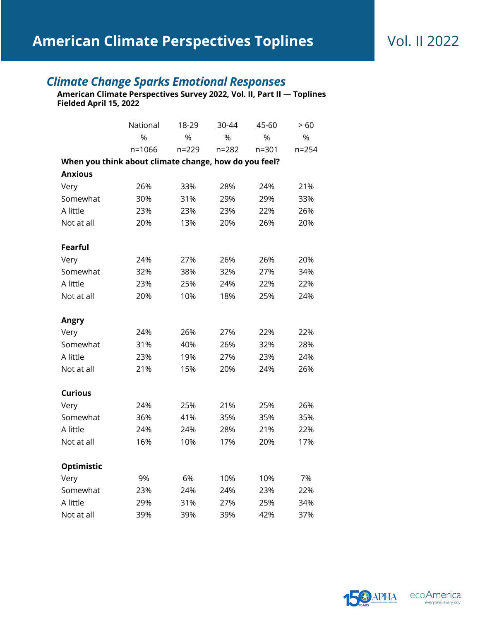## *Climate Change Sparks Emotional Responses*

**American Climate Perspectives Survey 2022, Vol. II, Part II — Toplines Fielded April 15, 2022**

|                                                       | National | 18-29     | 30-44     | 45-60     | >60       |
|-------------------------------------------------------|----------|-----------|-----------|-----------|-----------|
|                                                       | %        | %         | %         | %         | %         |
|                                                       | n=1066   | $n = 229$ | $n = 282$ | $n = 301$ | $n = 254$ |
| When you think about climate change, how do you feel? |          |           |           |           |           |
| <b>Anxious</b>                                        |          |           |           |           |           |
| Very                                                  | 26%      | 33%       | 28%       | 24%       | 21%       |
| Somewhat                                              | 30%      | 31%       | 29%       | 29%       | 33%       |
| A little                                              | 23%      | 23%       | 23%       | 22%       | 26%       |
| Not at all                                            | 20%      | 13%       | 20%       | 26%       | 20%       |
|                                                       |          |           |           |           |           |
| <b>Fearful</b>                                        |          |           |           |           |           |
| Very                                                  | 24%      | 27%       | 26%       | 26%       | 20%       |
| Somewhat                                              | 32%      | 38%       | 32%       | 27%       | 34%       |
| A little                                              | 23%      | 25%       | 24%       | 22%       | 22%       |
| Not at all                                            | 20%      | 10%       | 18%       | 25%       | 24%       |
|                                                       |          |           |           |           |           |
| <b>Angry</b>                                          |          |           |           |           |           |
| Very                                                  | 24%      | 26%       | 27%       | 22%       | 22%       |
| Somewhat                                              | 31%      | 40%       | 26%       | 32%       | 28%       |
| A little                                              | 23%      | 19%       | 27%       | 23%       | 24%       |
| Not at all                                            | 21%      | 15%       | 20%       | 24%       | 26%       |
|                                                       |          |           |           |           |           |
| <b>Curious</b>                                        |          |           |           |           |           |
| Very                                                  | 24%      | 25%       | 21%       | 25%       | 26%       |
| Somewhat                                              | 36%      | 41%       | 35%       | 35%       | 35%       |
| A little                                              | 24%      | 24%       | 28%       | 21%       | 22%       |
| Not at all                                            | 16%      | 10%       | 17%       | 20%       | 17%       |
|                                                       |          |           |           |           |           |
| Optimistic                                            |          |           |           |           |           |
| Very                                                  | 9%       | 6%        | 10%       | 10%       | 7%        |
| Somewhat                                              | 23%      | 24%       | 24%       | 23%       | 22%       |
| A little                                              | 29%      | 31%       | 27%       | 25%       | 34%       |
| Not at all                                            | 39%      | 39%       | 39%       | 42%       | 37%       |



everyone, every day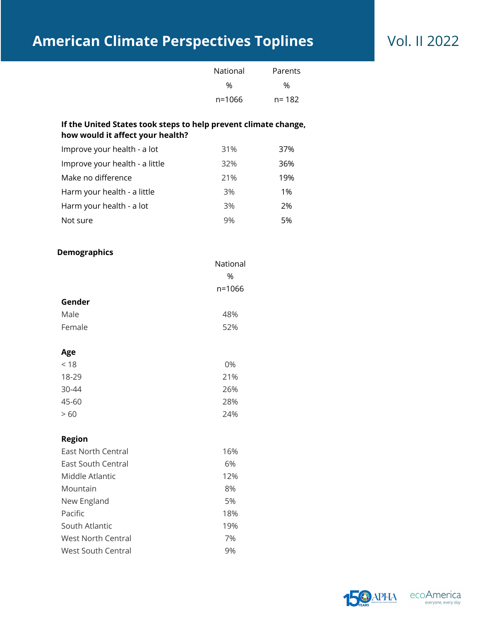# **American Climate Perspectives Toplines** Vol. II 2022

| National | Parents |
|----------|---------|
| %        | %       |
| n=1066   | n= 182  |

## **If the United States took steps to help prevent climate change, how would it affect your health?**

| Improve your health - a lot    | 31% | 37% |
|--------------------------------|-----|-----|
| Improve your health - a little | 32% | 36% |
| Make no difference             | 21% | 19% |
| Harm your health - a little    | 3%  | 1%  |
| Harm your health - a lot       | 3%  | 2%  |
| Not sure                       | 9%  | 5%  |

### **Demographics**

| - - - - - - - - - - - - - |            |
|---------------------------|------------|
|                           | National   |
|                           | %          |
|                           | $n = 1066$ |
| Gender                    |            |
| Male                      | 48%        |
| Female                    | 52%        |
|                           |            |
|                           |            |

| Age       |     |
|-----------|-----|
| < 18      | 0%  |
| 18-29     | 21% |
| $30 - 44$ | 26% |
| 45-60     | 28% |
| >60       | 24% |

## **Region**

| East North Central | 16% |
|--------------------|-----|
| East South Central | 6%  |
| Middle Atlantic    | 12% |
| Mountain           | 8%  |
| New England        | 5%  |
| Pacific            | 18% |
| South Atlantic     | 19% |
| West North Central | 7%  |
| West South Central | 9%  |